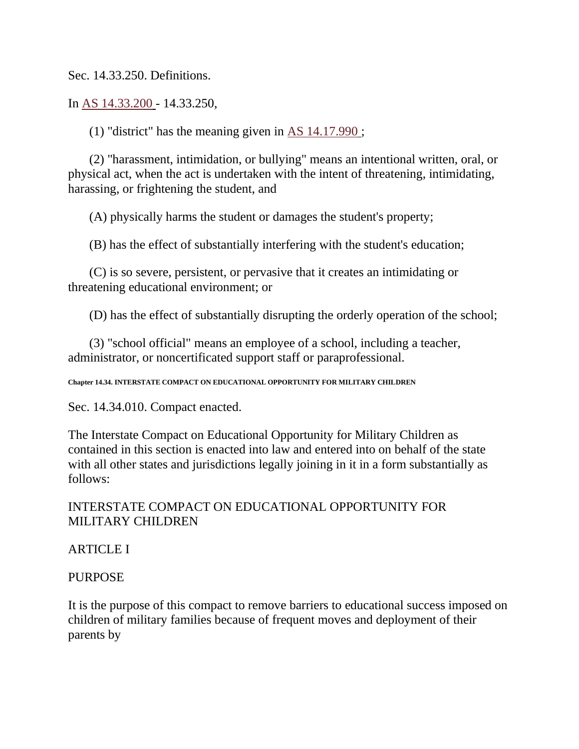Sec. 14.33.250. Definitions.

In [AS 14.33.200](http://www.legis.state.ak.us/basis/folioproxy.asp?url=http://wwwjnu01.legis.state.ak.us/cgi-bin/folioisa.dll/stattx10/query=%5bJUMP:%27AS1433200%27%5d/doc/%7b@1%7d?firsthit) - 14.33.250,

(1) "district" has the meaning given in [AS 14.17.990](http://www.legis.state.ak.us/basis/folioproxy.asp?url=http://wwwjnu01.legis.state.ak.us/cgi-bin/folioisa.dll/stattx10/query=%5bJUMP:%27AS1417990%27%5d/doc/%7b@1%7d?firsthit) ;

(2) "harassment, intimidation, or bullying" means an intentional written, oral, or physical act, when the act is undertaken with the intent of threatening, intimidating, harassing, or frightening the student, and

(A) physically harms the student or damages the student's property;

(B) has the effect of substantially interfering with the student's education;

(C) is so severe, persistent, or pervasive that it creates an intimidating or threatening educational environment; or

(D) has the effect of substantially disrupting the orderly operation of the school;

(3) "school official" means an employee of a school, including a teacher, administrator, or noncertificated support staff or paraprofessional.

**Chapter 14.34. INTERSTATE COMPACT ON EDUCATIONAL OPPORTUNITY FOR MILITARY CHILDREN**

Sec. 14.34.010. Compact enacted.

The Interstate Compact on Educational Opportunity for Military Children as contained in this section is enacted into law and entered into on behalf of the state with all other states and jurisdictions legally joining in it in a form substantially as follows:

# INTERSTATE COMPACT ON EDUCATIONAL OPPORTUNITY FOR MILITARY CHILDREN

# ARTICLE I

# PURPOSE

It is the purpose of this compact to remove barriers to educational success imposed on children of military families because of frequent moves and deployment of their parents by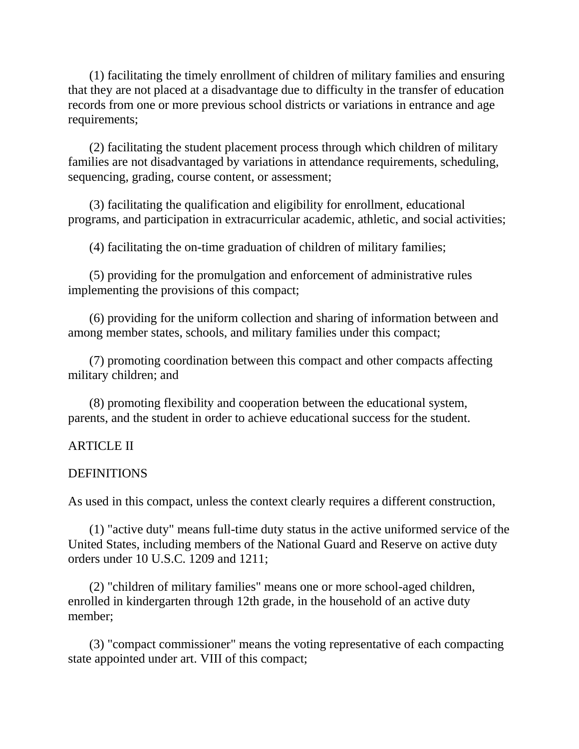(1) facilitating the timely enrollment of children of military families and ensuring that they are not placed at a disadvantage due to difficulty in the transfer of education records from one or more previous school districts or variations in entrance and age requirements;

(2) facilitating the student placement process through which children of military families are not disadvantaged by variations in attendance requirements, scheduling, sequencing, grading, course content, or assessment;

(3) facilitating the qualification and eligibility for enrollment, educational programs, and participation in extracurricular academic, athletic, and social activities;

(4) facilitating the on-time graduation of children of military families;

(5) providing for the promulgation and enforcement of administrative rules implementing the provisions of this compact;

(6) providing for the uniform collection and sharing of information between and among member states, schools, and military families under this compact;

(7) promoting coordination between this compact and other compacts affecting military children; and

(8) promoting flexibility and cooperation between the educational system, parents, and the student in order to achieve educational success for the student.

# ARTICLE II

#### DEFINITIONS

As used in this compact, unless the context clearly requires a different construction,

(1) "active duty" means full-time duty status in the active uniformed service of the United States, including members of the National Guard and Reserve on active duty orders under 10 U.S.C. 1209 and 1211;

(2) "children of military families" means one or more school-aged children, enrolled in kindergarten through 12th grade, in the household of an active duty member;

(3) "compact commissioner" means the voting representative of each compacting state appointed under art. VIII of this compact;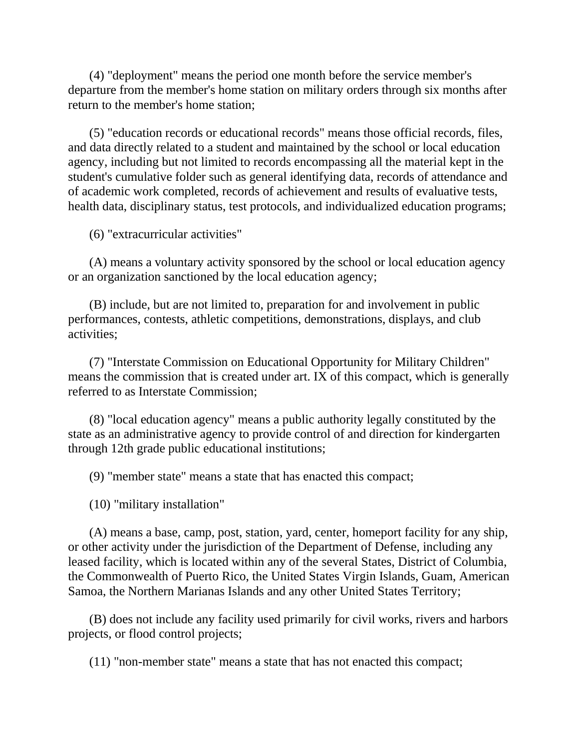(4) "deployment" means the period one month before the service member's departure from the member's home station on military orders through six months after return to the member's home station;

(5) "education records or educational records" means those official records, files, and data directly related to a student and maintained by the school or local education agency, including but not limited to records encompassing all the material kept in the student's cumulative folder such as general identifying data, records of attendance and of academic work completed, records of achievement and results of evaluative tests, health data, disciplinary status, test protocols, and individualized education programs;

(6) "extracurricular activities"

(A) means a voluntary activity sponsored by the school or local education agency or an organization sanctioned by the local education agency;

(B) include, but are not limited to, preparation for and involvement in public performances, contests, athletic competitions, demonstrations, displays, and club activities;

(7) "Interstate Commission on Educational Opportunity for Military Children" means the commission that is created under art. IX of this compact, which is generally referred to as Interstate Commission;

(8) "local education agency" means a public authority legally constituted by the state as an administrative agency to provide control of and direction for kindergarten through 12th grade public educational institutions;

(9) "member state" means a state that has enacted this compact;

(10) "military installation"

(A) means a base, camp, post, station, yard, center, homeport facility for any ship, or other activity under the jurisdiction of the Department of Defense, including any leased facility, which is located within any of the several States, District of Columbia, the Commonwealth of Puerto Rico, the United States Virgin Islands, Guam, American Samoa, the Northern Marianas Islands and any other United States Territory;

(B) does not include any facility used primarily for civil works, rivers and harbors projects, or flood control projects;

(11) "non-member state" means a state that has not enacted this compact;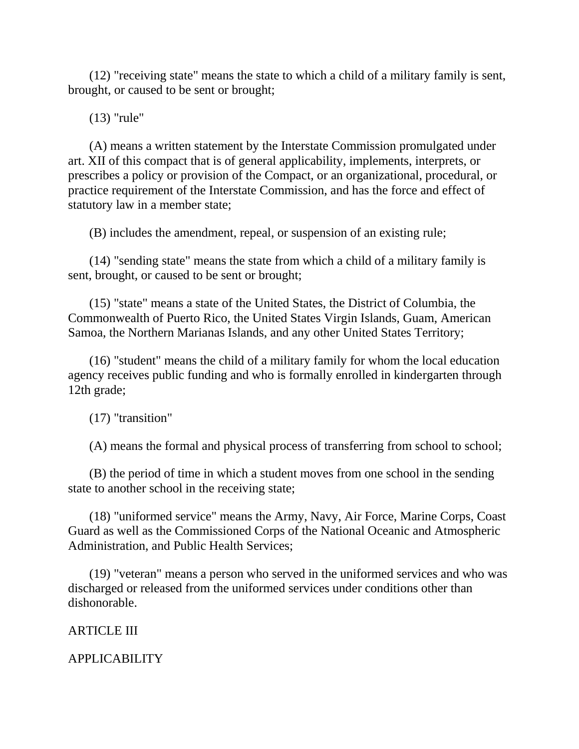(12) "receiving state" means the state to which a child of a military family is sent, brought, or caused to be sent or brought;

(13) "rule"

(A) means a written statement by the Interstate Commission promulgated under art. XII of this compact that is of general applicability, implements, interprets, or prescribes a policy or provision of the Compact, or an organizational, procedural, or practice requirement of the Interstate Commission, and has the force and effect of statutory law in a member state;

(B) includes the amendment, repeal, or suspension of an existing rule;

(14) "sending state" means the state from which a child of a military family is sent, brought, or caused to be sent or brought;

(15) "state" means a state of the United States, the District of Columbia, the Commonwealth of Puerto Rico, the United States Virgin Islands, Guam, American Samoa, the Northern Marianas Islands, and any other United States Territory;

(16) "student" means the child of a military family for whom the local education agency receives public funding and who is formally enrolled in kindergarten through 12th grade;

(17) "transition"

(A) means the formal and physical process of transferring from school to school;

(B) the period of time in which a student moves from one school in the sending state to another school in the receiving state;

(18) "uniformed service" means the Army, Navy, Air Force, Marine Corps, Coast Guard as well as the Commissioned Corps of the National Oceanic and Atmospheric Administration, and Public Health Services;

(19) "veteran" means a person who served in the uniformed services and who was discharged or released from the uniformed services under conditions other than dishonorable.

ARTICLE III

APPLICABILITY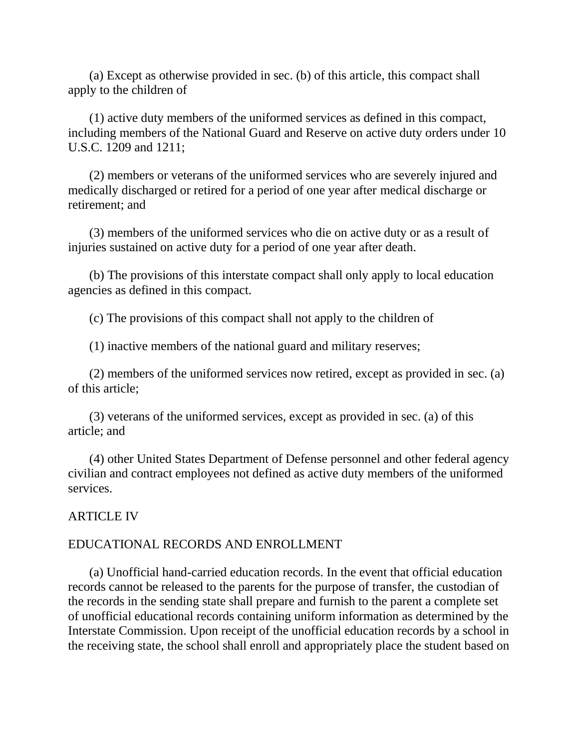(a) Except as otherwise provided in sec. (b) of this article, this compact shall apply to the children of

(1) active duty members of the uniformed services as defined in this compact, including members of the National Guard and Reserve on active duty orders under 10 U.S.C. 1209 and 1211;

(2) members or veterans of the uniformed services who are severely injured and medically discharged or retired for a period of one year after medical discharge or retirement; and

(3) members of the uniformed services who die on active duty or as a result of injuries sustained on active duty for a period of one year after death.

(b) The provisions of this interstate compact shall only apply to local education agencies as defined in this compact.

(c) The provisions of this compact shall not apply to the children of

(1) inactive members of the national guard and military reserves;

(2) members of the uniformed services now retired, except as provided in sec. (a) of this article;

(3) veterans of the uniformed services, except as provided in sec. (a) of this article; and

(4) other United States Department of Defense personnel and other federal agency civilian and contract employees not defined as active duty members of the uniformed services.

# ARTICLE IV

# EDUCATIONAL RECORDS AND ENROLLMENT

(a) Unofficial hand-carried education records. In the event that official education records cannot be released to the parents for the purpose of transfer, the custodian of the records in the sending state shall prepare and furnish to the parent a complete set of unofficial educational records containing uniform information as determined by the Interstate Commission. Upon receipt of the unofficial education records by a school in the receiving state, the school shall enroll and appropriately place the student based on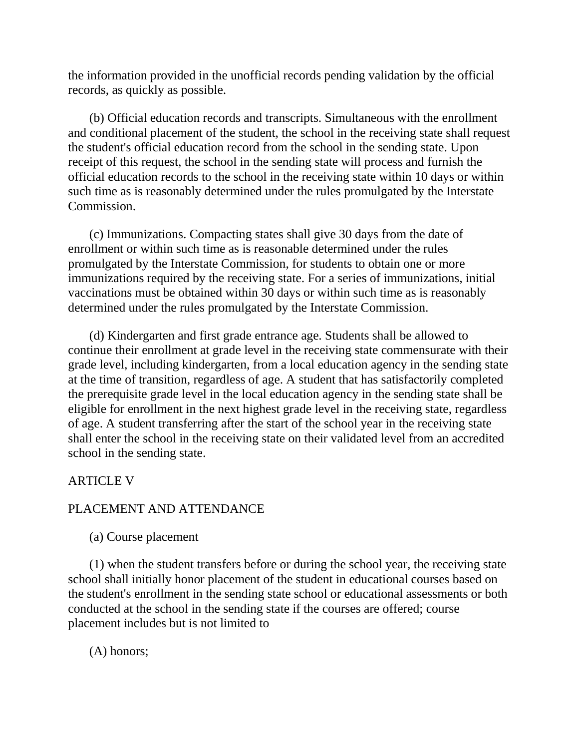the information provided in the unofficial records pending validation by the official records, as quickly as possible.

(b) Official education records and transcripts. Simultaneous with the enrollment and conditional placement of the student, the school in the receiving state shall request the student's official education record from the school in the sending state. Upon receipt of this request, the school in the sending state will process and furnish the official education records to the school in the receiving state within 10 days or within such time as is reasonably determined under the rules promulgated by the Interstate Commission.

(c) Immunizations. Compacting states shall give 30 days from the date of enrollment or within such time as is reasonable determined under the rules promulgated by the Interstate Commission, for students to obtain one or more immunizations required by the receiving state. For a series of immunizations, initial vaccinations must be obtained within 30 days or within such time as is reasonably determined under the rules promulgated by the Interstate Commission.

(d) Kindergarten and first grade entrance age. Students shall be allowed to continue their enrollment at grade level in the receiving state commensurate with their grade level, including kindergarten, from a local education agency in the sending state at the time of transition, regardless of age. A student that has satisfactorily completed the prerequisite grade level in the local education agency in the sending state shall be eligible for enrollment in the next highest grade level in the receiving state, regardless of age. A student transferring after the start of the school year in the receiving state shall enter the school in the receiving state on their validated level from an accredited school in the sending state.

# ARTICLE V

# PLACEMENT AND ATTENDANCE

(a) Course placement

(1) when the student transfers before or during the school year, the receiving state school shall initially honor placement of the student in educational courses based on the student's enrollment in the sending state school or educational assessments or both conducted at the school in the sending state if the courses are offered; course placement includes but is not limited to

(A) honors;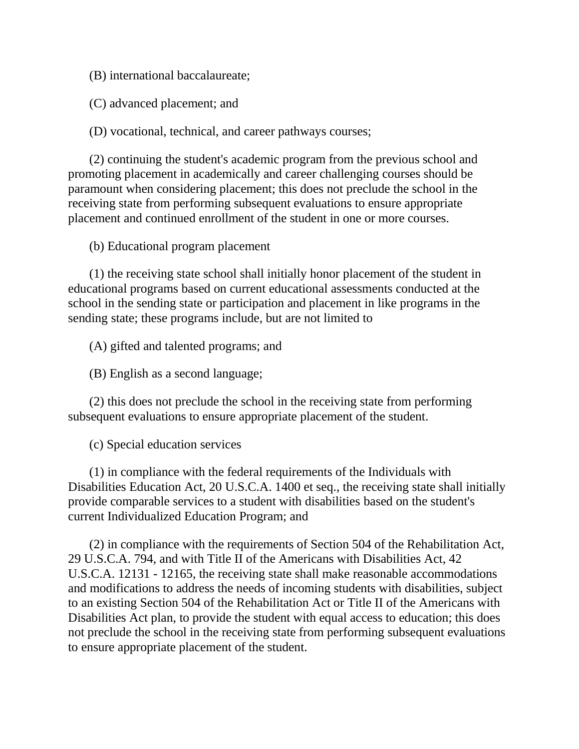(B) international baccalaureate;

(C) advanced placement; and

(D) vocational, technical, and career pathways courses;

(2) continuing the student's academic program from the previous school and promoting placement in academically and career challenging courses should be paramount when considering placement; this does not preclude the school in the receiving state from performing subsequent evaluations to ensure appropriate placement and continued enrollment of the student in one or more courses.

(b) Educational program placement

(1) the receiving state school shall initially honor placement of the student in educational programs based on current educational assessments conducted at the school in the sending state or participation and placement in like programs in the sending state; these programs include, but are not limited to

(A) gifted and talented programs; and

(B) English as a second language;

(2) this does not preclude the school in the receiving state from performing subsequent evaluations to ensure appropriate placement of the student.

(c) Special education services

(1) in compliance with the federal requirements of the Individuals with Disabilities Education Act, 20 U.S.C.A. 1400 et seq., the receiving state shall initially provide comparable services to a student with disabilities based on the student's current Individualized Education Program; and

(2) in compliance with the requirements of Section 504 of the Rehabilitation Act, 29 U.S.C.A. 794, and with Title II of the Americans with Disabilities Act, 42 U.S.C.A. 12131 - 12165, the receiving state shall make reasonable accommodations and modifications to address the needs of incoming students with disabilities, subject to an existing Section 504 of the Rehabilitation Act or Title II of the Americans with Disabilities Act plan, to provide the student with equal access to education; this does not preclude the school in the receiving state from performing subsequent evaluations to ensure appropriate placement of the student.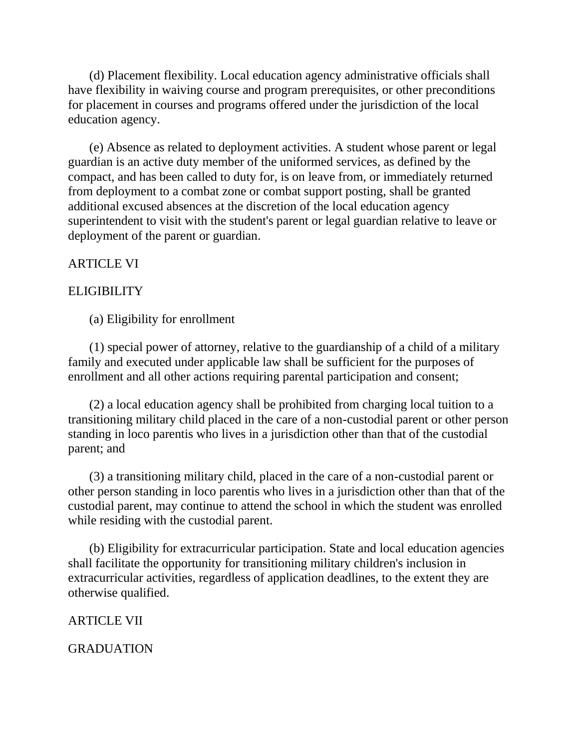(d) Placement flexibility. Local education agency administrative officials shall have flexibility in waiving course and program prerequisites, or other preconditions for placement in courses and programs offered under the jurisdiction of the local education agency.

(e) Absence as related to deployment activities. A student whose parent or legal guardian is an active duty member of the uniformed services, as defined by the compact, and has been called to duty for, is on leave from, or immediately returned from deployment to a combat zone or combat support posting, shall be granted additional excused absences at the discretion of the local education agency superintendent to visit with the student's parent or legal guardian relative to leave or deployment of the parent or guardian.

### ARTICLE VI

#### **ELIGIBILITY**

(a) Eligibility for enrollment

(1) special power of attorney, relative to the guardianship of a child of a military family and executed under applicable law shall be sufficient for the purposes of enrollment and all other actions requiring parental participation and consent;

(2) a local education agency shall be prohibited from charging local tuition to a transitioning military child placed in the care of a non-custodial parent or other person standing in loco parentis who lives in a jurisdiction other than that of the custodial parent; and

(3) a transitioning military child, placed in the care of a non-custodial parent or other person standing in loco parentis who lives in a jurisdiction other than that of the custodial parent, may continue to attend the school in which the student was enrolled while residing with the custodial parent.

(b) Eligibility for extracurricular participation. State and local education agencies shall facilitate the opportunity for transitioning military children's inclusion in extracurricular activities, regardless of application deadlines, to the extent they are otherwise qualified.

#### ARTICLE VII

GRADUATION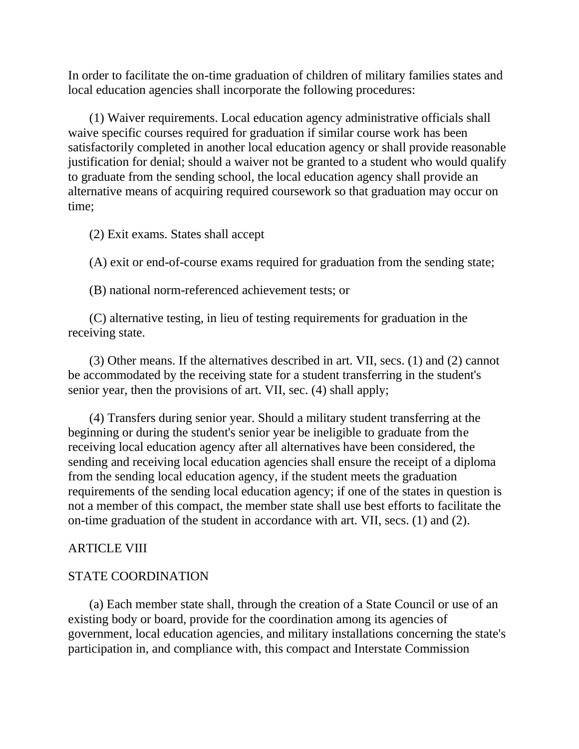In order to facilitate the on-time graduation of children of military families states and local education agencies shall incorporate the following procedures:

(1) Waiver requirements. Local education agency administrative officials shall waive specific courses required for graduation if similar course work has been satisfactorily completed in another local education agency or shall provide reasonable justification for denial; should a waiver not be granted to a student who would qualify to graduate from the sending school, the local education agency shall provide an alternative means of acquiring required coursework so that graduation may occur on time;

(2) Exit exams. States shall accept

(A) exit or end-of-course exams required for graduation from the sending state;

(B) national norm-referenced achievement tests; or

(C) alternative testing, in lieu of testing requirements for graduation in the receiving state.

(3) Other means. If the alternatives described in art. VII, secs. (1) and (2) cannot be accommodated by the receiving state for a student transferring in the student's senior year, then the provisions of art. VII, sec. (4) shall apply;

(4) Transfers during senior year. Should a military student transferring at the beginning or during the student's senior year be ineligible to graduate from the receiving local education agency after all alternatives have been considered, the sending and receiving local education agencies shall ensure the receipt of a diploma from the sending local education agency, if the student meets the graduation requirements of the sending local education agency; if one of the states in question is not a member of this compact, the member state shall use best efforts to facilitate the on-time graduation of the student in accordance with art. VII, secs. (1) and (2).

# ARTICLE VIII

# STATE COORDINATION

(a) Each member state shall, through the creation of a State Council or use of an existing body or board, provide for the coordination among its agencies of government, local education agencies, and military installations concerning the state's participation in, and compliance with, this compact and Interstate Commission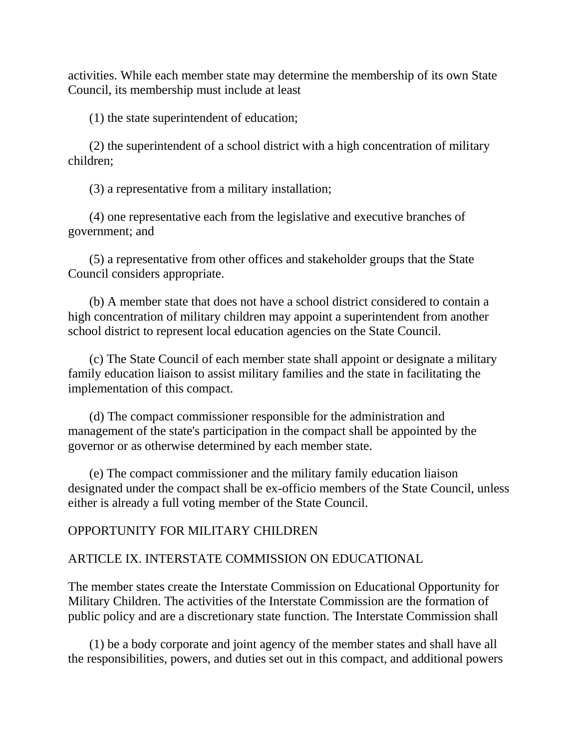activities. While each member state may determine the membership of its own State Council, its membership must include at least

(1) the state superintendent of education;

(2) the superintendent of a school district with a high concentration of military children;

(3) a representative from a military installation;

(4) one representative each from the legislative and executive branches of government; and

(5) a representative from other offices and stakeholder groups that the State Council considers appropriate.

(b) A member state that does not have a school district considered to contain a high concentration of military children may appoint a superintendent from another school district to represent local education agencies on the State Council.

(c) The State Council of each member state shall appoint or designate a military family education liaison to assist military families and the state in facilitating the implementation of this compact.

(d) The compact commissioner responsible for the administration and management of the state's participation in the compact shall be appointed by the governor or as otherwise determined by each member state.

(e) The compact commissioner and the military family education liaison designated under the compact shall be ex-officio members of the State Council, unless either is already a full voting member of the State Council.

# OPPORTUNITY FOR MILITARY CHILDREN

# ARTICLE IX. INTERSTATE COMMISSION ON EDUCATIONAL

The member states create the Interstate Commission on Educational Opportunity for Military Children. The activities of the Interstate Commission are the formation of public policy and are a discretionary state function. The Interstate Commission shall

(1) be a body corporate and joint agency of the member states and shall have all the responsibilities, powers, and duties set out in this compact, and additional powers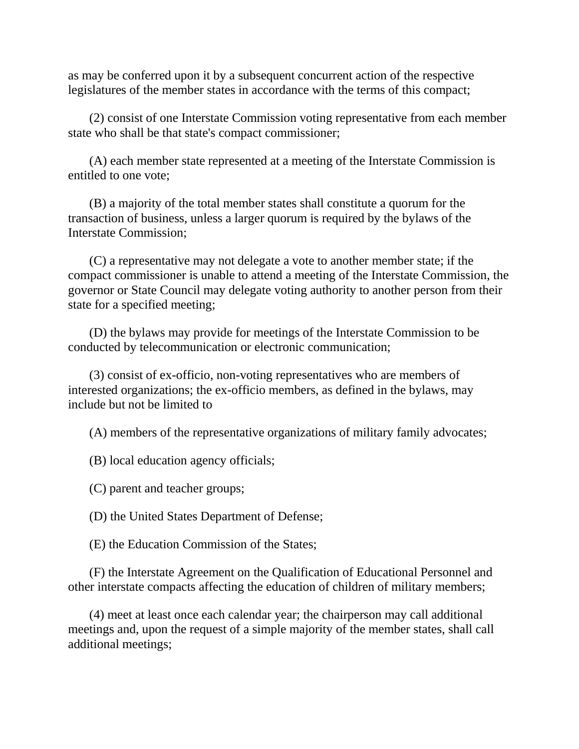as may be conferred upon it by a subsequent concurrent action of the respective legislatures of the member states in accordance with the terms of this compact;

(2) consist of one Interstate Commission voting representative from each member state who shall be that state's compact commissioner;

(A) each member state represented at a meeting of the Interstate Commission is entitled to one vote;

(B) a majority of the total member states shall constitute a quorum for the transaction of business, unless a larger quorum is required by the bylaws of the Interstate Commission;

(C) a representative may not delegate a vote to another member state; if the compact commissioner is unable to attend a meeting of the Interstate Commission, the governor or State Council may delegate voting authority to another person from their state for a specified meeting;

(D) the bylaws may provide for meetings of the Interstate Commission to be conducted by telecommunication or electronic communication;

(3) consist of ex-officio, non-voting representatives who are members of interested organizations; the ex-officio members, as defined in the bylaws, may include but not be limited to

(A) members of the representative organizations of military family advocates;

(B) local education agency officials;

(C) parent and teacher groups;

(D) the United States Department of Defense;

(E) the Education Commission of the States;

(F) the Interstate Agreement on the Qualification of Educational Personnel and other interstate compacts affecting the education of children of military members;

(4) meet at least once each calendar year; the chairperson may call additional meetings and, upon the request of a simple majority of the member states, shall call additional meetings;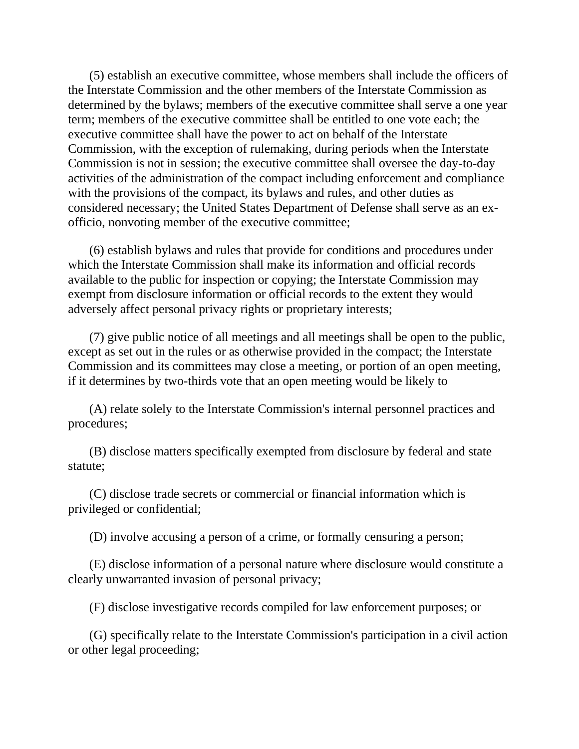(5) establish an executive committee, whose members shall include the officers of the Interstate Commission and the other members of the Interstate Commission as determined by the bylaws; members of the executive committee shall serve a one year term; members of the executive committee shall be entitled to one vote each; the executive committee shall have the power to act on behalf of the Interstate Commission, with the exception of rulemaking, during periods when the Interstate Commission is not in session; the executive committee shall oversee the day-to-day activities of the administration of the compact including enforcement and compliance with the provisions of the compact, its bylaws and rules, and other duties as considered necessary; the United States Department of Defense shall serve as an exofficio, nonvoting member of the executive committee;

(6) establish bylaws and rules that provide for conditions and procedures under which the Interstate Commission shall make its information and official records available to the public for inspection or copying; the Interstate Commission may exempt from disclosure information or official records to the extent they would adversely affect personal privacy rights or proprietary interests;

(7) give public notice of all meetings and all meetings shall be open to the public, except as set out in the rules or as otherwise provided in the compact; the Interstate Commission and its committees may close a meeting, or portion of an open meeting, if it determines by two-thirds vote that an open meeting would be likely to

(A) relate solely to the Interstate Commission's internal personnel practices and procedures;

(B) disclose matters specifically exempted from disclosure by federal and state statute;

(C) disclose trade secrets or commercial or financial information which is privileged or confidential;

(D) involve accusing a person of a crime, or formally censuring a person;

(E) disclose information of a personal nature where disclosure would constitute a clearly unwarranted invasion of personal privacy;

(F) disclose investigative records compiled for law enforcement purposes; or

(G) specifically relate to the Interstate Commission's participation in a civil action or other legal proceeding;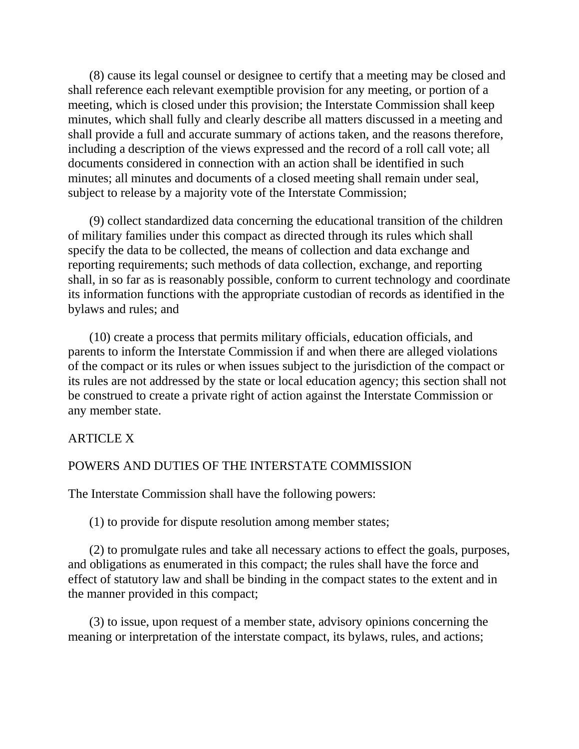(8) cause its legal counsel or designee to certify that a meeting may be closed and shall reference each relevant exemptible provision for any meeting, or portion of a meeting, which is closed under this provision; the Interstate Commission shall keep minutes, which shall fully and clearly describe all matters discussed in a meeting and shall provide a full and accurate summary of actions taken, and the reasons therefore, including a description of the views expressed and the record of a roll call vote; all documents considered in connection with an action shall be identified in such minutes; all minutes and documents of a closed meeting shall remain under seal, subject to release by a majority vote of the Interstate Commission;

(9) collect standardized data concerning the educational transition of the children of military families under this compact as directed through its rules which shall specify the data to be collected, the means of collection and data exchange and reporting requirements; such methods of data collection, exchange, and reporting shall, in so far as is reasonably possible, conform to current technology and coordinate its information functions with the appropriate custodian of records as identified in the bylaws and rules; and

(10) create a process that permits military officials, education officials, and parents to inform the Interstate Commission if and when there are alleged violations of the compact or its rules or when issues subject to the jurisdiction of the compact or its rules are not addressed by the state or local education agency; this section shall not be construed to create a private right of action against the Interstate Commission or any member state.

# ARTICLE X

# POWERS AND DUTIES OF THE INTERSTATE COMMISSION

The Interstate Commission shall have the following powers:

(1) to provide for dispute resolution among member states;

(2) to promulgate rules and take all necessary actions to effect the goals, purposes, and obligations as enumerated in this compact; the rules shall have the force and effect of statutory law and shall be binding in the compact states to the extent and in the manner provided in this compact;

(3) to issue, upon request of a member state, advisory opinions concerning the meaning or interpretation of the interstate compact, its bylaws, rules, and actions;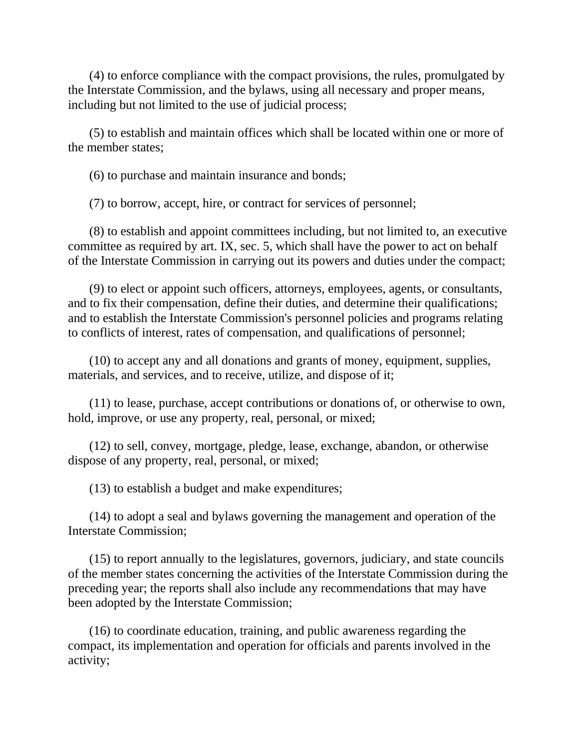(4) to enforce compliance with the compact provisions, the rules, promulgated by the Interstate Commission, and the bylaws, using all necessary and proper means, including but not limited to the use of judicial process;

(5) to establish and maintain offices which shall be located within one or more of the member states;

(6) to purchase and maintain insurance and bonds;

(7) to borrow, accept, hire, or contract for services of personnel;

(8) to establish and appoint committees including, but not limited to, an executive committee as required by art. IX, sec. 5, which shall have the power to act on behalf of the Interstate Commission in carrying out its powers and duties under the compact;

(9) to elect or appoint such officers, attorneys, employees, agents, or consultants, and to fix their compensation, define their duties, and determine their qualifications; and to establish the Interstate Commission's personnel policies and programs relating to conflicts of interest, rates of compensation, and qualifications of personnel;

(10) to accept any and all donations and grants of money, equipment, supplies, materials, and services, and to receive, utilize, and dispose of it;

(11) to lease, purchase, accept contributions or donations of, or otherwise to own, hold, improve, or use any property, real, personal, or mixed;

(12) to sell, convey, mortgage, pledge, lease, exchange, abandon, or otherwise dispose of any property, real, personal, or mixed;

(13) to establish a budget and make expenditures;

(14) to adopt a seal and bylaws governing the management and operation of the Interstate Commission;

(15) to report annually to the legislatures, governors, judiciary, and state councils of the member states concerning the activities of the Interstate Commission during the preceding year; the reports shall also include any recommendations that may have been adopted by the Interstate Commission;

(16) to coordinate education, training, and public awareness regarding the compact, its implementation and operation for officials and parents involved in the activity;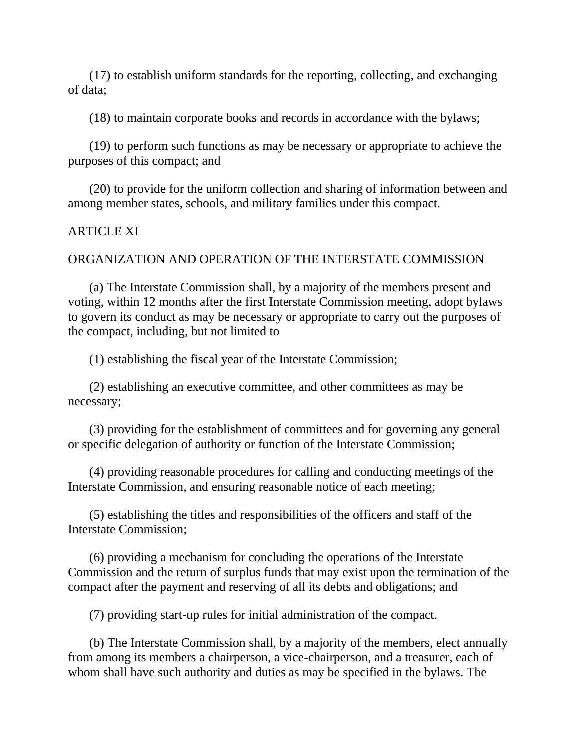(17) to establish uniform standards for the reporting, collecting, and exchanging of data;

(18) to maintain corporate books and records in accordance with the bylaws;

(19) to perform such functions as may be necessary or appropriate to achieve the purposes of this compact; and

(20) to provide for the uniform collection and sharing of information between and among member states, schools, and military families under this compact.

### ARTICLE XI

### ORGANIZATION AND OPERATION OF THE INTERSTATE COMMISSION

(a) The Interstate Commission shall, by a majority of the members present and voting, within 12 months after the first Interstate Commission meeting, adopt bylaws to govern its conduct as may be necessary or appropriate to carry out the purposes of the compact, including, but not limited to

(1) establishing the fiscal year of the Interstate Commission;

(2) establishing an executive committee, and other committees as may be necessary;

(3) providing for the establishment of committees and for governing any general or specific delegation of authority or function of the Interstate Commission;

(4) providing reasonable procedures for calling and conducting meetings of the Interstate Commission, and ensuring reasonable notice of each meeting;

(5) establishing the titles and responsibilities of the officers and staff of the Interstate Commission;

(6) providing a mechanism for concluding the operations of the Interstate Commission and the return of surplus funds that may exist upon the termination of the compact after the payment and reserving of all its debts and obligations; and

(7) providing start-up rules for initial administration of the compact.

(b) The Interstate Commission shall, by a majority of the members, elect annually from among its members a chairperson, a vice-chairperson, and a treasurer, each of whom shall have such authority and duties as may be specified in the bylaws. The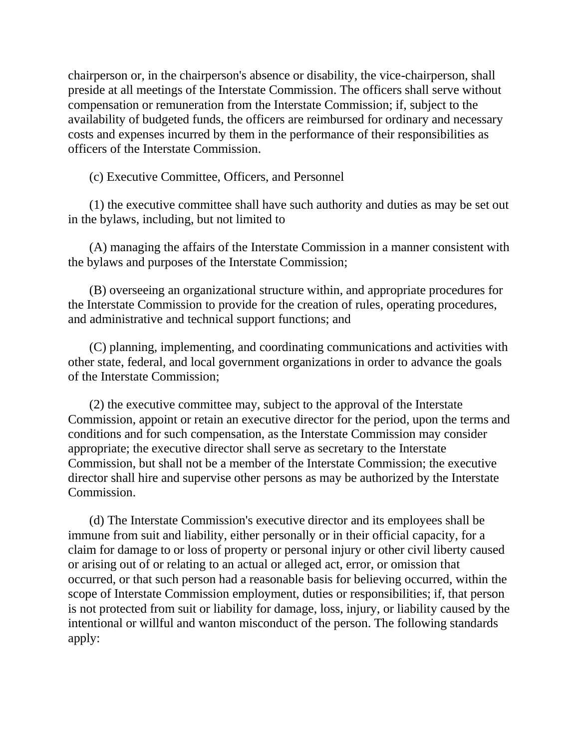chairperson or, in the chairperson's absence or disability, the vice-chairperson, shall preside at all meetings of the Interstate Commission. The officers shall serve without compensation or remuneration from the Interstate Commission; if, subject to the availability of budgeted funds, the officers are reimbursed for ordinary and necessary costs and expenses incurred by them in the performance of their responsibilities as officers of the Interstate Commission.

(c) Executive Committee, Officers, and Personnel

(1) the executive committee shall have such authority and duties as may be set out in the bylaws, including, but not limited to

(A) managing the affairs of the Interstate Commission in a manner consistent with the bylaws and purposes of the Interstate Commission;

(B) overseeing an organizational structure within, and appropriate procedures for the Interstate Commission to provide for the creation of rules, operating procedures, and administrative and technical support functions; and

(C) planning, implementing, and coordinating communications and activities with other state, federal, and local government organizations in order to advance the goals of the Interstate Commission;

(2) the executive committee may, subject to the approval of the Interstate Commission, appoint or retain an executive director for the period, upon the terms and conditions and for such compensation, as the Interstate Commission may consider appropriate; the executive director shall serve as secretary to the Interstate Commission, but shall not be a member of the Interstate Commission; the executive director shall hire and supervise other persons as may be authorized by the Interstate Commission.

(d) The Interstate Commission's executive director and its employees shall be immune from suit and liability, either personally or in their official capacity, for a claim for damage to or loss of property or personal injury or other civil liberty caused or arising out of or relating to an actual or alleged act, error, or omission that occurred, or that such person had a reasonable basis for believing occurred, within the scope of Interstate Commission employment, duties or responsibilities; if, that person is not protected from suit or liability for damage, loss, injury, or liability caused by the intentional or willful and wanton misconduct of the person. The following standards apply: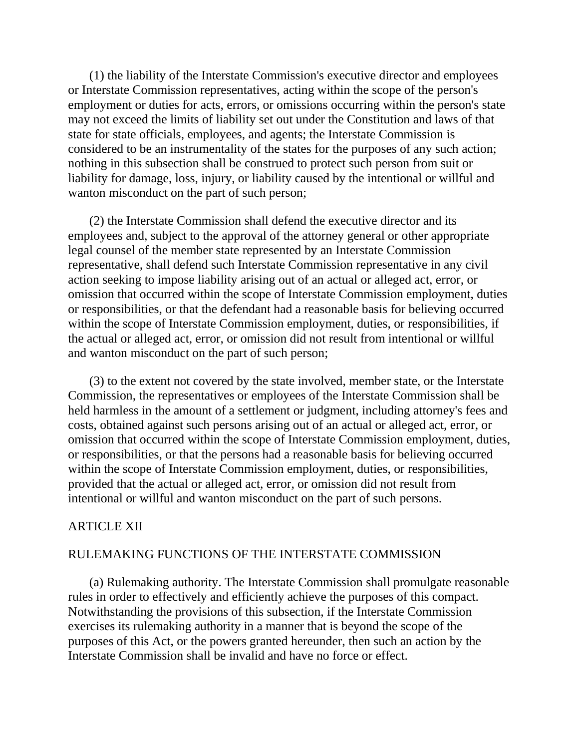(1) the liability of the Interstate Commission's executive director and employees or Interstate Commission representatives, acting within the scope of the person's employment or duties for acts, errors, or omissions occurring within the person's state may not exceed the limits of liability set out under the Constitution and laws of that state for state officials, employees, and agents; the Interstate Commission is considered to be an instrumentality of the states for the purposes of any such action; nothing in this subsection shall be construed to protect such person from suit or liability for damage, loss, injury, or liability caused by the intentional or willful and wanton misconduct on the part of such person;

(2) the Interstate Commission shall defend the executive director and its employees and, subject to the approval of the attorney general or other appropriate legal counsel of the member state represented by an Interstate Commission representative, shall defend such Interstate Commission representative in any civil action seeking to impose liability arising out of an actual or alleged act, error, or omission that occurred within the scope of Interstate Commission employment, duties or responsibilities, or that the defendant had a reasonable basis for believing occurred within the scope of Interstate Commission employment, duties, or responsibilities, if the actual or alleged act, error, or omission did not result from intentional or willful and wanton misconduct on the part of such person;

(3) to the extent not covered by the state involved, member state, or the Interstate Commission, the representatives or employees of the Interstate Commission shall be held harmless in the amount of a settlement or judgment, including attorney's fees and costs, obtained against such persons arising out of an actual or alleged act, error, or omission that occurred within the scope of Interstate Commission employment, duties, or responsibilities, or that the persons had a reasonable basis for believing occurred within the scope of Interstate Commission employment, duties, or responsibilities, provided that the actual or alleged act, error, or omission did not result from intentional or willful and wanton misconduct on the part of such persons.

# ARTICLE XII

# RULEMAKING FUNCTIONS OF THE INTERSTATE COMMISSION

(a) Rulemaking authority. The Interstate Commission shall promulgate reasonable rules in order to effectively and efficiently achieve the purposes of this compact. Notwithstanding the provisions of this subsection, if the Interstate Commission exercises its rulemaking authority in a manner that is beyond the scope of the purposes of this Act, or the powers granted hereunder, then such an action by the Interstate Commission shall be invalid and have no force or effect.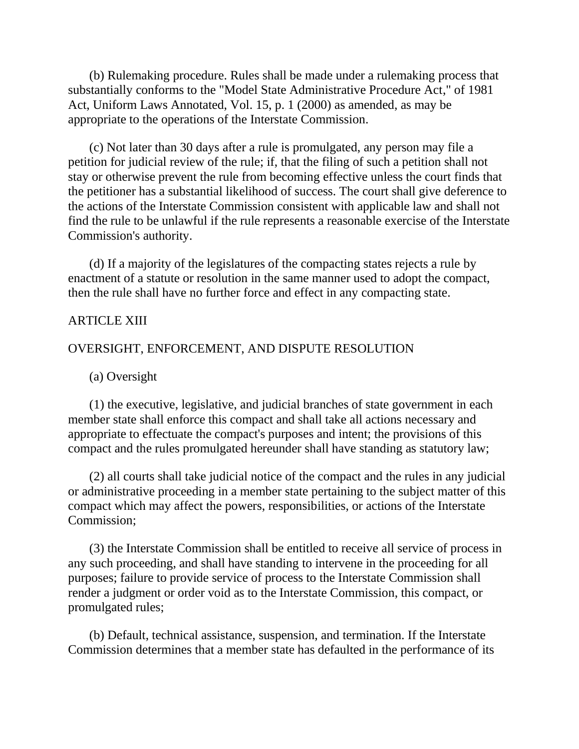(b) Rulemaking procedure. Rules shall be made under a rulemaking process that substantially conforms to the "Model State Administrative Procedure Act," of 1981 Act, Uniform Laws Annotated, Vol. 15, p. 1 (2000) as amended, as may be appropriate to the operations of the Interstate Commission.

(c) Not later than 30 days after a rule is promulgated, any person may file a petition for judicial review of the rule; if, that the filing of such a petition shall not stay or otherwise prevent the rule from becoming effective unless the court finds that the petitioner has a substantial likelihood of success. The court shall give deference to the actions of the Interstate Commission consistent with applicable law and shall not find the rule to be unlawful if the rule represents a reasonable exercise of the Interstate Commission's authority.

(d) If a majority of the legislatures of the compacting states rejects a rule by enactment of a statute or resolution in the same manner used to adopt the compact, then the rule shall have no further force and effect in any compacting state.

### ARTICLE XIII

### OVERSIGHT, ENFORCEMENT, AND DISPUTE RESOLUTION

(a) Oversight

(1) the executive, legislative, and judicial branches of state government in each member state shall enforce this compact and shall take all actions necessary and appropriate to effectuate the compact's purposes and intent; the provisions of this compact and the rules promulgated hereunder shall have standing as statutory law;

(2) all courts shall take judicial notice of the compact and the rules in any judicial or administrative proceeding in a member state pertaining to the subject matter of this compact which may affect the powers, responsibilities, or actions of the Interstate Commission;

(3) the Interstate Commission shall be entitled to receive all service of process in any such proceeding, and shall have standing to intervene in the proceeding for all purposes; failure to provide service of process to the Interstate Commission shall render a judgment or order void as to the Interstate Commission, this compact, or promulgated rules;

(b) Default, technical assistance, suspension, and termination. If the Interstate Commission determines that a member state has defaulted in the performance of its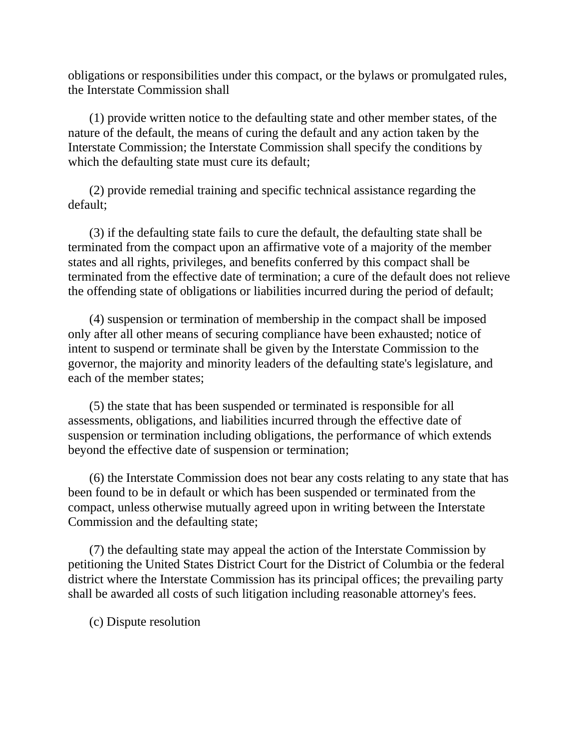obligations or responsibilities under this compact, or the bylaws or promulgated rules, the Interstate Commission shall

(1) provide written notice to the defaulting state and other member states, of the nature of the default, the means of curing the default and any action taken by the Interstate Commission; the Interstate Commission shall specify the conditions by which the defaulting state must cure its default;

(2) provide remedial training and specific technical assistance regarding the default;

(3) if the defaulting state fails to cure the default, the defaulting state shall be terminated from the compact upon an affirmative vote of a majority of the member states and all rights, privileges, and benefits conferred by this compact shall be terminated from the effective date of termination; a cure of the default does not relieve the offending state of obligations or liabilities incurred during the period of default;

(4) suspension or termination of membership in the compact shall be imposed only after all other means of securing compliance have been exhausted; notice of intent to suspend or terminate shall be given by the Interstate Commission to the governor, the majority and minority leaders of the defaulting state's legislature, and each of the member states;

(5) the state that has been suspended or terminated is responsible for all assessments, obligations, and liabilities incurred through the effective date of suspension or termination including obligations, the performance of which extends beyond the effective date of suspension or termination;

(6) the Interstate Commission does not bear any costs relating to any state that has been found to be in default or which has been suspended or terminated from the compact, unless otherwise mutually agreed upon in writing between the Interstate Commission and the defaulting state;

(7) the defaulting state may appeal the action of the Interstate Commission by petitioning the United States District Court for the District of Columbia or the federal district where the Interstate Commission has its principal offices; the prevailing party shall be awarded all costs of such litigation including reasonable attorney's fees.

(c) Dispute resolution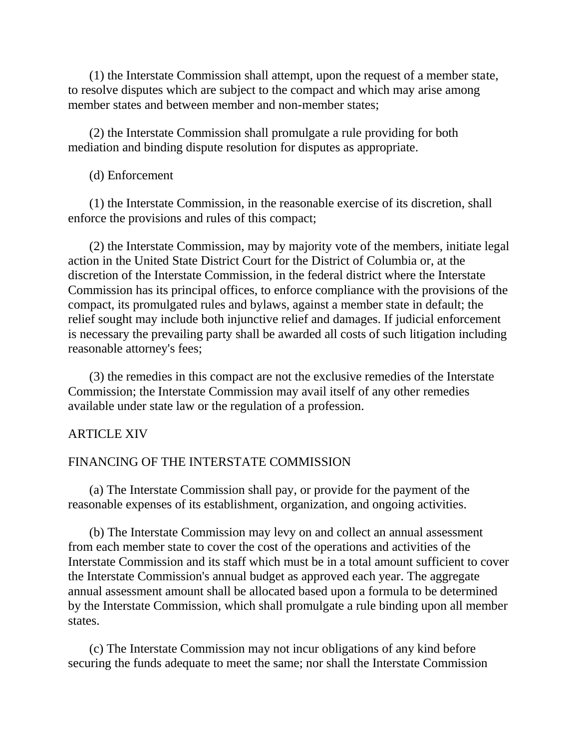(1) the Interstate Commission shall attempt, upon the request of a member state, to resolve disputes which are subject to the compact and which may arise among member states and between member and non-member states;

(2) the Interstate Commission shall promulgate a rule providing for both mediation and binding dispute resolution for disputes as appropriate.

(d) Enforcement

(1) the Interstate Commission, in the reasonable exercise of its discretion, shall enforce the provisions and rules of this compact;

(2) the Interstate Commission, may by majority vote of the members, initiate legal action in the United State District Court for the District of Columbia or, at the discretion of the Interstate Commission, in the federal district where the Interstate Commission has its principal offices, to enforce compliance with the provisions of the compact, its promulgated rules and bylaws, against a member state in default; the relief sought may include both injunctive relief and damages. If judicial enforcement is necessary the prevailing party shall be awarded all costs of such litigation including reasonable attorney's fees;

(3) the remedies in this compact are not the exclusive remedies of the Interstate Commission; the Interstate Commission may avail itself of any other remedies available under state law or the regulation of a profession.

#### ARTICLE XIV

### FINANCING OF THE INTERSTATE COMMISSION

(a) The Interstate Commission shall pay, or provide for the payment of the reasonable expenses of its establishment, organization, and ongoing activities.

(b) The Interstate Commission may levy on and collect an annual assessment from each member state to cover the cost of the operations and activities of the Interstate Commission and its staff which must be in a total amount sufficient to cover the Interstate Commission's annual budget as approved each year. The aggregate annual assessment amount shall be allocated based upon a formula to be determined by the Interstate Commission, which shall promulgate a rule binding upon all member states.

(c) The Interstate Commission may not incur obligations of any kind before securing the funds adequate to meet the same; nor shall the Interstate Commission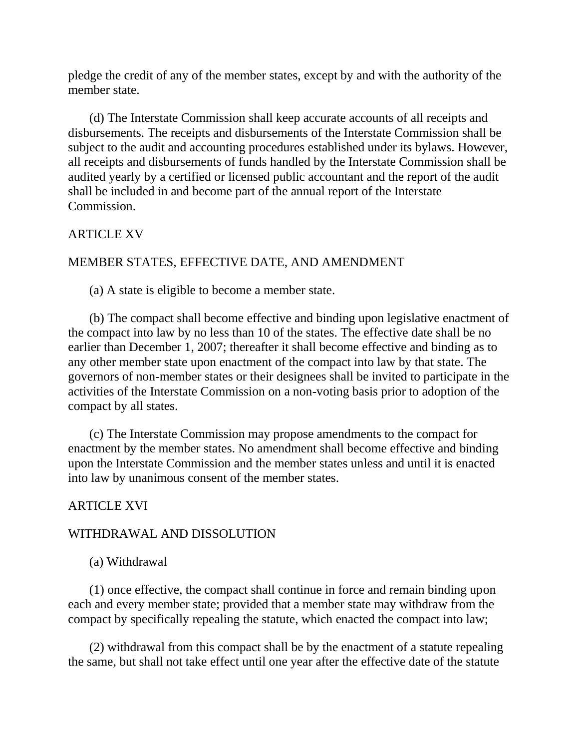pledge the credit of any of the member states, except by and with the authority of the member state.

(d) The Interstate Commission shall keep accurate accounts of all receipts and disbursements. The receipts and disbursements of the Interstate Commission shall be subject to the audit and accounting procedures established under its bylaws. However, all receipts and disbursements of funds handled by the Interstate Commission shall be audited yearly by a certified or licensed public accountant and the report of the audit shall be included in and become part of the annual report of the Interstate Commission.

# ARTICLE XV

# MEMBER STATES, EFFECTIVE DATE, AND AMENDMENT

(a) A state is eligible to become a member state.

(b) The compact shall become effective and binding upon legislative enactment of the compact into law by no less than 10 of the states. The effective date shall be no earlier than December 1, 2007; thereafter it shall become effective and binding as to any other member state upon enactment of the compact into law by that state. The governors of non-member states or their designees shall be invited to participate in the activities of the Interstate Commission on a non-voting basis prior to adoption of the compact by all states.

(c) The Interstate Commission may propose amendments to the compact for enactment by the member states. No amendment shall become effective and binding upon the Interstate Commission and the member states unless and until it is enacted into law by unanimous consent of the member states.

# ARTICLE XVI

# WITHDRAWAL AND DISSOLUTION

(a) Withdrawal

(1) once effective, the compact shall continue in force and remain binding upon each and every member state; provided that a member state may withdraw from the compact by specifically repealing the statute, which enacted the compact into law;

(2) withdrawal from this compact shall be by the enactment of a statute repealing the same, but shall not take effect until one year after the effective date of the statute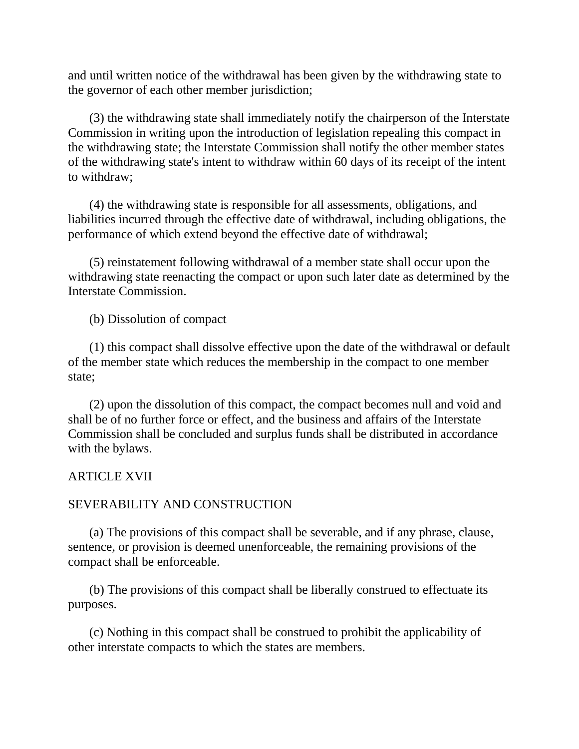and until written notice of the withdrawal has been given by the withdrawing state to the governor of each other member jurisdiction;

(3) the withdrawing state shall immediately notify the chairperson of the Interstate Commission in writing upon the introduction of legislation repealing this compact in the withdrawing state; the Interstate Commission shall notify the other member states of the withdrawing state's intent to withdraw within 60 days of its receipt of the intent to withdraw;

(4) the withdrawing state is responsible for all assessments, obligations, and liabilities incurred through the effective date of withdrawal, including obligations, the performance of which extend beyond the effective date of withdrawal;

(5) reinstatement following withdrawal of a member state shall occur upon the withdrawing state reenacting the compact or upon such later date as determined by the Interstate Commission.

(b) Dissolution of compact

(1) this compact shall dissolve effective upon the date of the withdrawal or default of the member state which reduces the membership in the compact to one member state;

(2) upon the dissolution of this compact, the compact becomes null and void and shall be of no further force or effect, and the business and affairs of the Interstate Commission shall be concluded and surplus funds shall be distributed in accordance with the bylaws.

# ARTICLE XVII

#### SEVERABILITY AND CONSTRUCTION

(a) The provisions of this compact shall be severable, and if any phrase, clause, sentence, or provision is deemed unenforceable, the remaining provisions of the compact shall be enforceable.

(b) The provisions of this compact shall be liberally construed to effectuate its purposes.

(c) Nothing in this compact shall be construed to prohibit the applicability of other interstate compacts to which the states are members.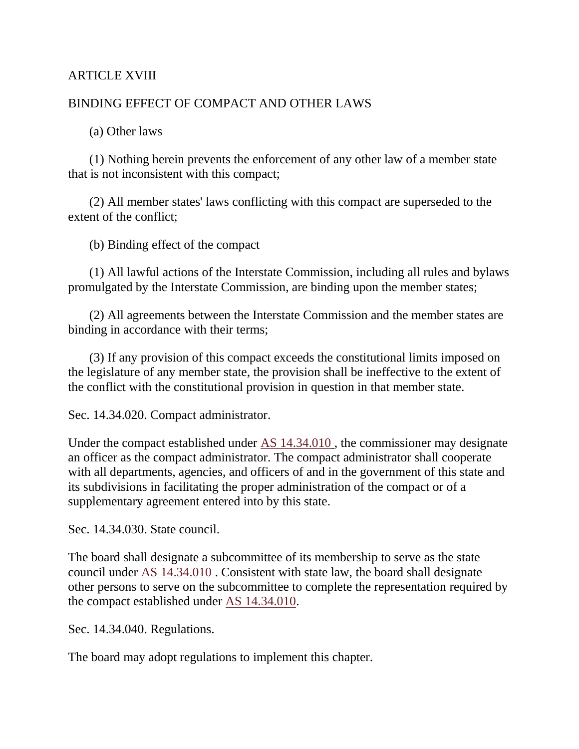# ARTICLE XVIII

# BINDING EFFECT OF COMPACT AND OTHER LAWS

(a) Other laws

(1) Nothing herein prevents the enforcement of any other law of a member state that is not inconsistent with this compact;

(2) All member states' laws conflicting with this compact are superseded to the extent of the conflict;

(b) Binding effect of the compact

(1) All lawful actions of the Interstate Commission, including all rules and bylaws promulgated by the Interstate Commission, are binding upon the member states;

(2) All agreements between the Interstate Commission and the member states are binding in accordance with their terms;

(3) If any provision of this compact exceeds the constitutional limits imposed on the legislature of any member state, the provision shall be ineffective to the extent of the conflict with the constitutional provision in question in that member state.

Sec. 14.34.020. Compact administrator.

Under the compact established under [AS 14.34.010](http://www.legis.state.ak.us/basis/folioproxy.asp?url=http://wwwjnu01.legis.state.ak.us/cgi-bin/folioisa.dll/stattx10/query=%5bJUMP:%27AS1434010%27%5d/doc/%7b@1%7d?firsthit) , the commissioner may designate an officer as the compact administrator. The compact administrator shall cooperate with all departments, agencies, and officers of and in the government of this state and its subdivisions in facilitating the proper administration of the compact or of a supplementary agreement entered into by this state.

Sec. 14.34.030. State council.

The board shall designate a subcommittee of its membership to serve as the state council under [AS 14.34.010](http://www.legis.state.ak.us/basis/folioproxy.asp?url=http://wwwjnu01.legis.state.ak.us/cgi-bin/folioisa.dll/stattx10/query=%5bJUMP:%27AS1434010%27%5d/doc/%7b@1%7d?firsthit) . Consistent with state law, the board shall designate other persons to serve on the subcommittee to complete the representation required by the compact established under [AS 14.34.010.](http://www.legis.state.ak.us/basis/folioproxy.asp?url=http://wwwjnu01.legis.state.ak.us/cgi-bin/folioisa.dll/stattx10/query=%5bJUMP:%27AS1434010%27%5d/doc/%7b@1%7d?firsthit)

Sec. 14.34.040. Regulations.

The board may adopt regulations to implement this chapter.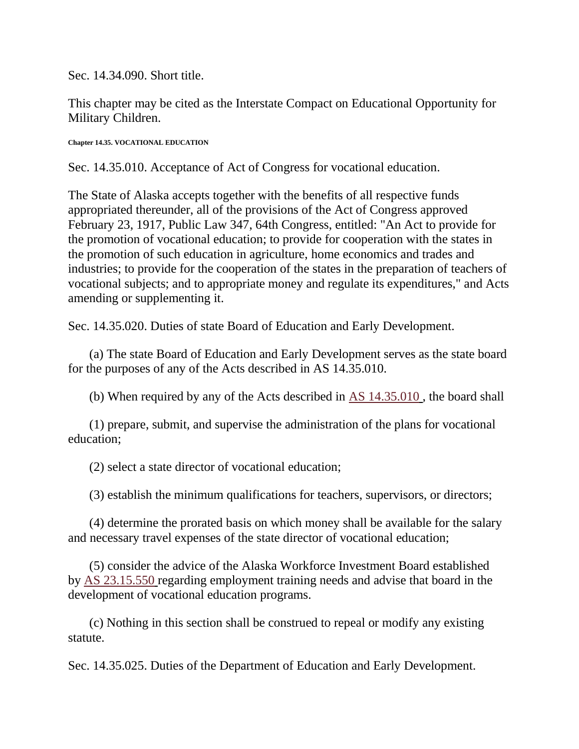Sec. 14.34.090. Short title.

This chapter may be cited as the Interstate Compact on Educational Opportunity for Military Children.

**Chapter 14.35. VOCATIONAL EDUCATION**

Sec. 14.35.010. Acceptance of Act of Congress for vocational education.

The State of Alaska accepts together with the benefits of all respective funds appropriated thereunder, all of the provisions of the Act of Congress approved February 23, 1917, Public Law 347, 64th Congress, entitled: "An Act to provide for the promotion of vocational education; to provide for cooperation with the states in the promotion of such education in agriculture, home economics and trades and industries; to provide for the cooperation of the states in the preparation of teachers of vocational subjects; and to appropriate money and regulate its expenditures," and Acts amending or supplementing it.

Sec. 14.35.020. Duties of state Board of Education and Early Development.

(a) The state Board of Education and Early Development serves as the state board for the purposes of any of the Acts described in AS 14.35.010.

(b) When required by any of the Acts described in [AS 14.35.010](http://www.legis.state.ak.us/basis/folioproxy.asp?url=http://wwwjnu01.legis.state.ak.us/cgi-bin/folioisa.dll/stattx10/query=%5bJUMP:%27AS1435010%27%5d/doc/%7b@1%7d?firsthit) , the board shall

(1) prepare, submit, and supervise the administration of the plans for vocational education;

(2) select a state director of vocational education;

(3) establish the minimum qualifications for teachers, supervisors, or directors;

(4) determine the prorated basis on which money shall be available for the salary and necessary travel expenses of the state director of vocational education;

(5) consider the advice of the Alaska Workforce Investment Board established by [AS 23.15.550](http://www.legis.state.ak.us/basis/folioproxy.asp?url=http://wwwjnu01.legis.state.ak.us/cgi-bin/folioisa.dll/stattx10/query=%5bJUMP:%27AS2315550%27%5d/doc/%7b@1%7d?firsthit) regarding employment training needs and advise that board in the development of vocational education programs.

(c) Nothing in this section shall be construed to repeal or modify any existing statute.

Sec. 14.35.025. Duties of the Department of Education and Early Development.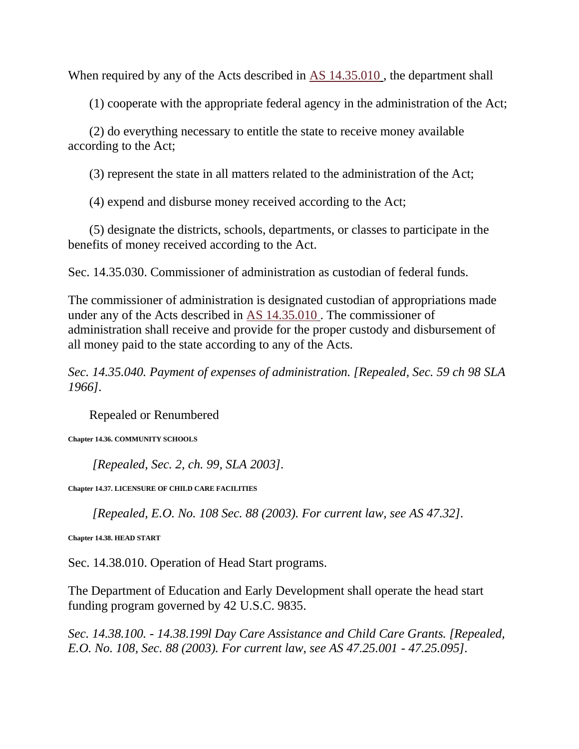When required by any of the Acts described in [AS 14.35.010](http://www.legis.state.ak.us/basis/folioproxy.asp?url=http://wwwjnu01.legis.state.ak.us/cgi-bin/folioisa.dll/stattx10/query=%5bJUMP:%27AS1435010%27%5d/doc/%7b@1%7d?firsthit) , the department shall

(1) cooperate with the appropriate federal agency in the administration of the Act;

(2) do everything necessary to entitle the state to receive money available according to the Act;

(3) represent the state in all matters related to the administration of the Act;

(4) expend and disburse money received according to the Act;

(5) designate the districts, schools, departments, or classes to participate in the benefits of money received according to the Act.

Sec. 14.35.030. Commissioner of administration as custodian of federal funds.

The commissioner of administration is designated custodian of appropriations made under any of the Acts described in [AS 14.35.010](http://www.legis.state.ak.us/basis/folioproxy.asp?url=http://wwwjnu01.legis.state.ak.us/cgi-bin/folioisa.dll/stattx10/query=%5bJUMP:%27AS1435010%27%5d/doc/%7b@1%7d?firsthit) . The commissioner of administration shall receive and provide for the proper custody and disbursement of all money paid to the state according to any of the Acts.

*Sec. 14.35.040. Payment of expenses of administration. [Repealed, Sec. 59 ch 98 SLA 1966].*

Repealed or Renumbered

**Chapter 14.36. COMMUNITY SCHOOLS**

*[Repealed, Sec. 2, ch. 99, SLA 2003].*

**Chapter 14.37. LICENSURE OF CHILD CARE FACILITIES**

*[Repealed, E.O. No. 108 Sec. 88 (2003). For current law, see AS 47.32].*

**Chapter 14.38. HEAD START**

Sec. 14.38.010. Operation of Head Start programs.

The Department of Education and Early Development shall operate the head start funding program governed by 42 U.S.C. 9835.

*Sec. 14.38.100. - 14.38.199l Day Care Assistance and Child Care Grants. [Repealed, E.O. No. 108, Sec. 88 (2003). For current law, see AS 47.25.001 - 47.25.095].*